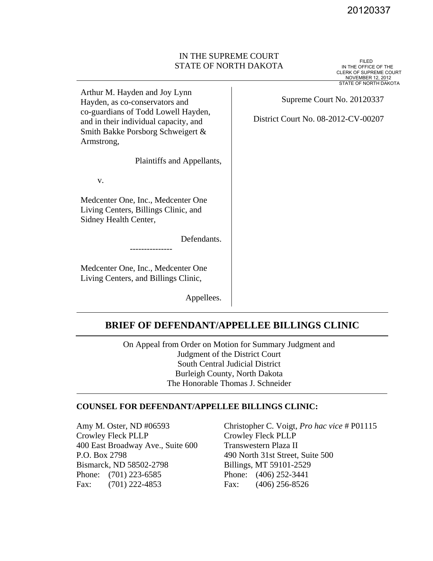## IN THE SUPREME COURT STATE OF NORTH DAKOTA

 $\overline{\phantom{a}}$ 

20120337<br>IN THE OFFICE OF THE<br>CLERK OF SUPREME COURT NOVEMBER 12, 2012 STATE OF NORTH DAKOTA

Arthur M. Hayden and Joy Lynn Hayden, as co-conservators and co-guardians of Todd Lowell Hayden, and in their individual capacity, and Smith Bakke Porsborg Schweigert & Armstrong,

Plaintiffs and Appellants,

v.

Medcenter One, Inc., Medcenter One Living Centers, Billings Clinic, and Sidney Health Center,

Defendants.

Medcenter One, Inc., Medcenter One Living Centers, and Billings Clinic,

## Supreme Court No. 20120337

District Court No. 08-2012-CV-00207

---------------

Appellees.

# **BRIEF OF DEFENDANT/APPELLEE BILLINGS CLINIC**

On Appeal from Order on Motion for Summary Judgment and Judgment of the District Court South Central Judicial District Burleigh County, North Dakota The Honorable Thomas J. Schneider

## **COUNSEL FOR DEFENDANT/APPELLEE BILLINGS CLINIC:**

Amy M. Oster, ND #06593 Crowley Fleck PLLP 400 East Broadway Ave., Suite 600 P.O. Box 2798 Bismarck, ND 58502-2798 Phone: (701) 223-6585 Fax: (701) 222-4853

Christopher C. Voigt, *Pro hac vice* # P01115 Crowley Fleck PLLP Transwestern Plaza II 490 North 31st Street, Suite 500 Billings, MT 59101-2529 Phone: (406) 252-3441 Fax: (406) 256-8526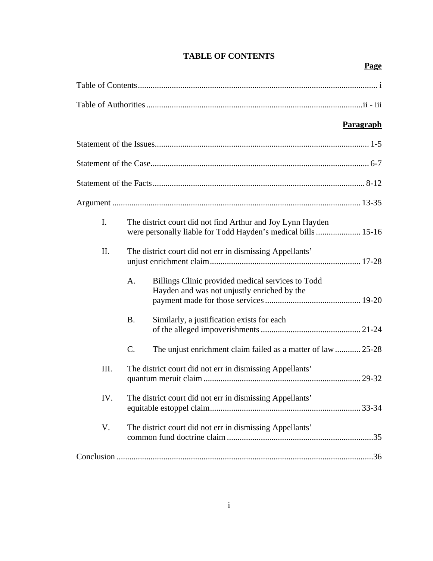|                |                                                                                                                             |                                                                                                  | <b>Paragraph</b> |
|----------------|-----------------------------------------------------------------------------------------------------------------------------|--------------------------------------------------------------------------------------------------|------------------|
|                |                                                                                                                             |                                                                                                  |                  |
|                |                                                                                                                             |                                                                                                  |                  |
|                |                                                                                                                             |                                                                                                  |                  |
|                |                                                                                                                             |                                                                                                  |                  |
| $\mathbf{I}$ . | The district court did not find Arthur and Joy Lynn Hayden<br>were personally liable for Todd Hayden's medical bills  15-16 |                                                                                                  |                  |
| II.            | The district court did not err in dismissing Appellants'                                                                    |                                                                                                  |                  |
|                | A.                                                                                                                          | Billings Clinic provided medical services to Todd<br>Hayden and was not unjustly enriched by the |                  |
|                | <b>B.</b>                                                                                                                   | Similarly, a justification exists for each                                                       |                  |
|                | $\mathcal{C}$ .                                                                                                             | The unjust enrichment claim failed as a matter of law  25-28                                     |                  |
| III.           | The district court did not err in dismissing Appellants'                                                                    |                                                                                                  |                  |
| IV.            | The district court did not err in dismissing Appellants'                                                                    |                                                                                                  |                  |
| V.             | The district court did not err in dismissing Appellants'                                                                    |                                                                                                  |                  |
|                |                                                                                                                             |                                                                                                  |                  |

# **TABLE OF CONTENTS**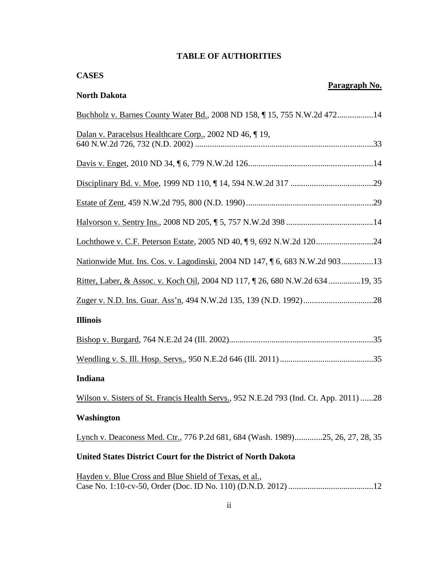# **TABLE OF AUTHORITIES**

| <b>CASES</b>                                                                           |               |  |  |  |
|----------------------------------------------------------------------------------------|---------------|--|--|--|
| <b>North Dakota</b>                                                                    | Paragraph No. |  |  |  |
| Buchholz v. Barnes County Water Bd., 2008 ND 158, 15, 755 N.W.2d 47214                 |               |  |  |  |
| Dalan v. Paracelsus Healthcare Corp., 2002 ND 46, 19,                                  |               |  |  |  |
|                                                                                        |               |  |  |  |
|                                                                                        |               |  |  |  |
|                                                                                        |               |  |  |  |
|                                                                                        |               |  |  |  |
|                                                                                        |               |  |  |  |
| Nationwide Mut. Ins. Cos. v. Lagodinski, 2004 ND 147, ¶ 6, 683 N.W.2d 90313            |               |  |  |  |
| Ritter, Laber, & Assoc. v. Koch Oil, 2004 ND 117, 1 26, 680 N.W.2d 634 19, 35          |               |  |  |  |
|                                                                                        |               |  |  |  |
| <b>Illinois</b>                                                                        |               |  |  |  |
|                                                                                        |               |  |  |  |
|                                                                                        |               |  |  |  |
| Indiana                                                                                |               |  |  |  |
| Wilson v. Sisters of St. Francis Health Servs., 952 N.E.2d 793 (Ind. Ct. App. 2011) 28 |               |  |  |  |
| Washington                                                                             |               |  |  |  |
| Lynch v. Deaconess Med. Ctr., 776 P.2d 681, 684 (Wash. 1989)25, 26, 27, 28, 35         |               |  |  |  |
| United States District Court for the District of North Dakota                          |               |  |  |  |
| Hayden v. Blue Cross and Blue Shield of Texas, et al.,                                 |               |  |  |  |

Case No. 1:10-cv-50, Order (Doc. ID No. 110) (D.N.D. 2012) ........................................12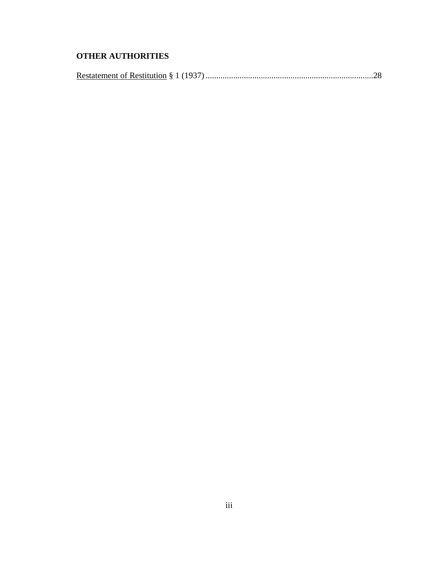# **OTHER AUTHORITIES**

|--|--|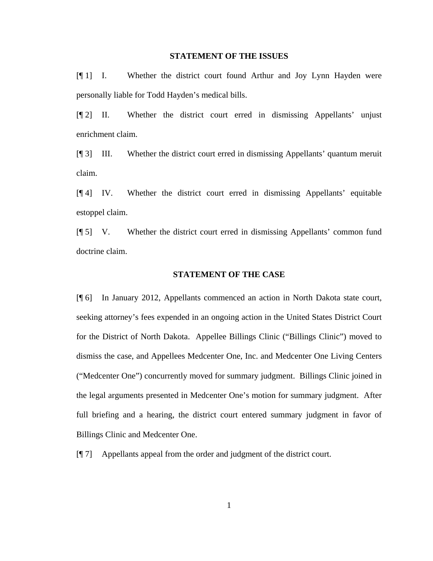#### **STATEMENT OF THE ISSUES**

[¶ 1] I. Whether the district court found Arthur and Joy Lynn Hayden were personally liable for Todd Hayden's medical bills.

[¶ 2] II. Whether the district court erred in dismissing Appellants' unjust enrichment claim.

[¶ 3] III. Whether the district court erred in dismissing Appellants' quantum meruit claim.

[¶ 4] IV. Whether the district court erred in dismissing Appellants' equitable estoppel claim.

[¶ 5] V. Whether the district court erred in dismissing Appellants' common fund doctrine claim.

#### **STATEMENT OF THE CASE**

[¶ 6] In January 2012, Appellants commenced an action in North Dakota state court, seeking attorney's fees expended in an ongoing action in the United States District Court for the District of North Dakota. Appellee Billings Clinic ("Billings Clinic") moved to dismiss the case, and Appellees Medcenter One, Inc. and Medcenter One Living Centers ("Medcenter One") concurrently moved for summary judgment. Billings Clinic joined in the legal arguments presented in Medcenter One's motion for summary judgment. After full briefing and a hearing, the district court entered summary judgment in favor of Billings Clinic and Medcenter One.

[¶ 7] Appellants appeal from the order and judgment of the district court.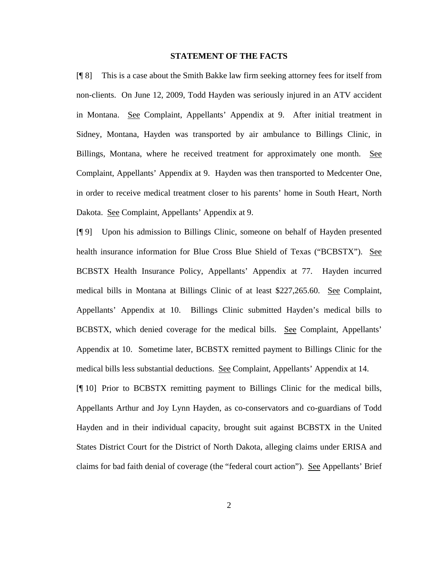### **STATEMENT OF THE FACTS**

[¶ 8] This is a case about the Smith Bakke law firm seeking attorney fees for itself from non-clients. On June 12, 2009, Todd Hayden was seriously injured in an ATV accident in Montana. See Complaint, Appellants' Appendix at 9. After initial treatment in Sidney, Montana, Hayden was transported by air ambulance to Billings Clinic, in Billings, Montana, where he received treatment for approximately one month. See Complaint, Appellants' Appendix at 9. Hayden was then transported to Medcenter One, in order to receive medical treatment closer to his parents' home in South Heart, North Dakota. See Complaint, Appellants' Appendix at 9.

[¶ 9] Upon his admission to Billings Clinic, someone on behalf of Hayden presented health insurance information for Blue Cross Blue Shield of Texas ("BCBSTX"). See BCBSTX Health Insurance Policy, Appellants' Appendix at 77. Hayden incurred medical bills in Montana at Billings Clinic of at least \$227,265.60. See Complaint, Appellants' Appendix at 10. Billings Clinic submitted Hayden's medical bills to BCBSTX, which denied coverage for the medical bills. See Complaint, Appellants' Appendix at 10. Sometime later, BCBSTX remitted payment to Billings Clinic for the medical bills less substantial deductions. See Complaint, Appellants' Appendix at 14.

[¶ 10] Prior to BCBSTX remitting payment to Billings Clinic for the medical bills, Appellants Arthur and Joy Lynn Hayden, as co-conservators and co-guardians of Todd Hayden and in their individual capacity, brought suit against BCBSTX in the United States District Court for the District of North Dakota, alleging claims under ERISA and claims for bad faith denial of coverage (the "federal court action"). See Appellants' Brief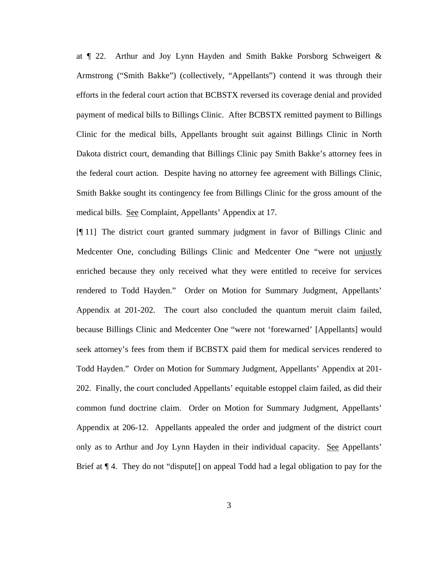at ¶ 22. Arthur and Joy Lynn Hayden and Smith Bakke Porsborg Schweigert & Armstrong ("Smith Bakke") (collectively, "Appellants") contend it was through their efforts in the federal court action that BCBSTX reversed its coverage denial and provided payment of medical bills to Billings Clinic. After BCBSTX remitted payment to Billings Clinic for the medical bills, Appellants brought suit against Billings Clinic in North Dakota district court, demanding that Billings Clinic pay Smith Bakke's attorney fees in the federal court action. Despite having no attorney fee agreement with Billings Clinic, Smith Bakke sought its contingency fee from Billings Clinic for the gross amount of the medical bills. See Complaint, Appellants' Appendix at 17.

[¶ 11] The district court granted summary judgment in favor of Billings Clinic and Medcenter One, concluding Billings Clinic and Medcenter One "were not unjustly enriched because they only received what they were entitled to receive for services rendered to Todd Hayden." Order on Motion for Summary Judgment, Appellants' Appendix at 201-202. The court also concluded the quantum meruit claim failed, because Billings Clinic and Medcenter One "were not 'forewarned' [Appellants] would seek attorney's fees from them if BCBSTX paid them for medical services rendered to Todd Hayden." Order on Motion for Summary Judgment, Appellants' Appendix at 201- 202. Finally, the court concluded Appellants' equitable estoppel claim failed, as did their common fund doctrine claim. Order on Motion for Summary Judgment, Appellants' Appendix at 206-12. Appellants appealed the order and judgment of the district court only as to Arthur and Joy Lynn Hayden in their individual capacity. See Appellants' Brief at ¶ 4. They do not "dispute[] on appeal Todd had a legal obligation to pay for the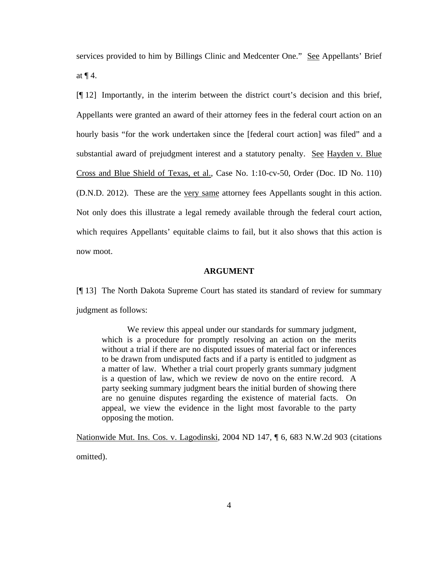services provided to him by Billings Clinic and Medcenter One." See Appellants' Brief at  $\P$  4.

[¶ 12] Importantly, in the interim between the district court's decision and this brief, Appellants were granted an award of their attorney fees in the federal court action on an hourly basis "for the work undertaken since the [federal court action] was filed" and a substantial award of prejudgment interest and a statutory penalty. See Hayden v. Blue Cross and Blue Shield of Texas, et al., Case No. 1:10-cv-50, Order (Doc. ID No. 110) (D.N.D. 2012). These are the very same attorney fees Appellants sought in this action. Not only does this illustrate a legal remedy available through the federal court action, which requires Appellants' equitable claims to fail, but it also shows that this action is now moot.

#### **ARGUMENT**

[¶ 13] The North Dakota Supreme Court has stated its standard of review for summary judgment as follows:

We review this appeal under our standards for summary judgment, which is a procedure for promptly resolving an action on the merits without a trial if there are no disputed issues of material fact or inferences to be drawn from undisputed facts and if a party is entitled to judgment as a matter of law. Whether a trial court properly grants summary judgment is a question of law, which we review de novo on the entire record. A party seeking summary judgment bears the initial burden of showing there are no genuine disputes regarding the existence of material facts. On appeal, we view the evidence in the light most favorable to the party opposing the motion.

Nationwide Mut. Ins. Cos. v. Lagodinski, 2004 ND 147, ¶ 6, 683 N.W.2d 903 (citations omitted).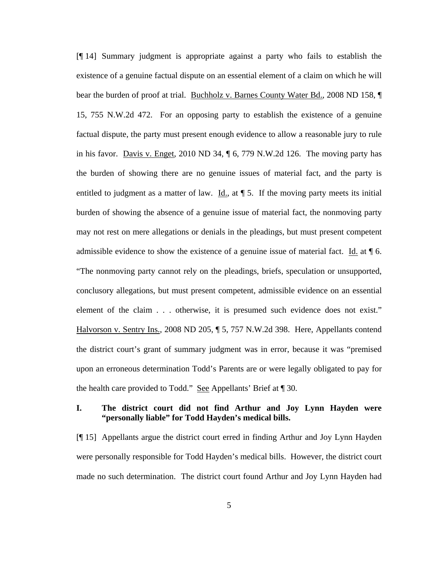[¶ 14] Summary judgment is appropriate against a party who fails to establish the existence of a genuine factual dispute on an essential element of a claim on which he will bear the burden of proof at trial. Buchholz v. Barnes County Water Bd., 2008 ND 158, ¶ 15, 755 N.W.2d 472. For an opposing party to establish the existence of a genuine factual dispute, the party must present enough evidence to allow a reasonable jury to rule in his favor. Davis v. Enget, 2010 ND 34, ¶ 6, 779 N.W.2d 126. The moving party has the burden of showing there are no genuine issues of material fact, and the party is entitled to judgment as a matter of law. Id., at  $\P$  5. If the moving party meets its initial burden of showing the absence of a genuine issue of material fact, the nonmoving party may not rest on mere allegations or denials in the pleadings, but must present competent admissible evidence to show the existence of a genuine issue of material fact. Id. at  $\P$  6. "The nonmoving party cannot rely on the pleadings, briefs, speculation or unsupported, conclusory allegations, but must present competent, admissible evidence on an essential element of the claim . . . otherwise, it is presumed such evidence does not exist." Halvorson v. Sentry Ins., 2008 ND 205, ¶ 5, 757 N.W.2d 398. Here, Appellants contend the district court's grant of summary judgment was in error, because it was "premised upon an erroneous determination Todd's Parents are or were legally obligated to pay for the health care provided to Todd." See Appellants' Brief at ¶ 30.

## **I. The district court did not find Arthur and Joy Lynn Hayden were "personally liable" for Todd Hayden's medical bills.**

[¶ 15] Appellants argue the district court erred in finding Arthur and Joy Lynn Hayden were personally responsible for Todd Hayden's medical bills. However, the district court made no such determination. The district court found Arthur and Joy Lynn Hayden had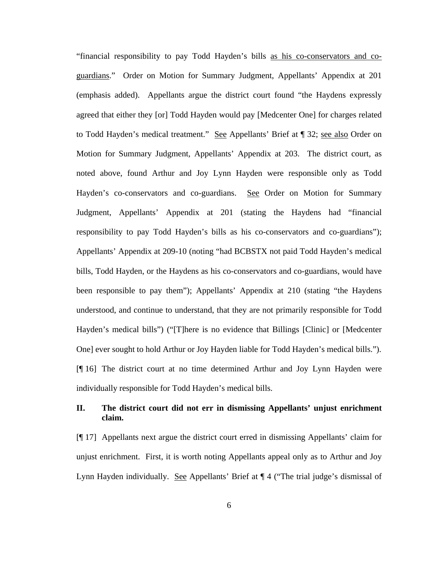"financial responsibility to pay Todd Hayden's bills as his co-conservators and coguardians." Order on Motion for Summary Judgment, Appellants' Appendix at 201 (emphasis added). Appellants argue the district court found "the Haydens expressly agreed that either they [or] Todd Hayden would pay [Medcenter One] for charges related to Todd Hayden's medical treatment." See Appellants' Brief at ¶ 32; see also Order on Motion for Summary Judgment, Appellants' Appendix at 203. The district court, as noted above, found Arthur and Joy Lynn Hayden were responsible only as Todd Hayden's co-conservators and co-guardians. See Order on Motion for Summary Judgment, Appellants' Appendix at 201 (stating the Haydens had "financial responsibility to pay Todd Hayden's bills as his co-conservators and co-guardians"); Appellants' Appendix at 209-10 (noting "had BCBSTX not paid Todd Hayden's medical bills, Todd Hayden, or the Haydens as his co-conservators and co-guardians, would have been responsible to pay them"); Appellants' Appendix at 210 (stating "the Haydens understood, and continue to understand, that they are not primarily responsible for Todd Hayden's medical bills") ("[T]here is no evidence that Billings [Clinic] or [Medcenter One] ever sought to hold Arthur or Joy Hayden liable for Todd Hayden's medical bills."). [¶ 16] The district court at no time determined Arthur and Joy Lynn Hayden were individually responsible for Todd Hayden's medical bills.

## **II. The district court did not err in dismissing Appellants' unjust enrichment claim.**

[¶ 17] Appellants next argue the district court erred in dismissing Appellants' claim for unjust enrichment. First, it is worth noting Appellants appeal only as to Arthur and Joy Lynn Hayden individually. See Appellants' Brief at  $\P$  4 ("The trial judge's dismissal of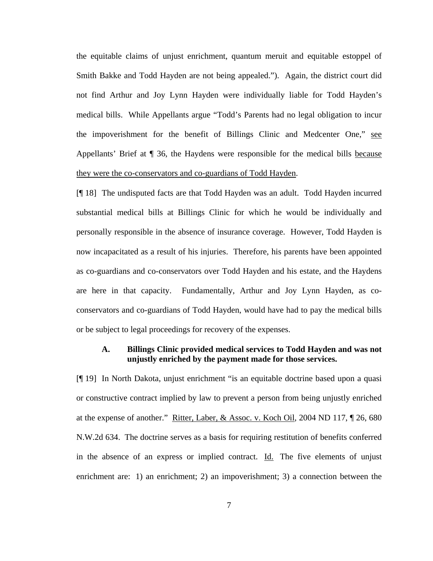the equitable claims of unjust enrichment, quantum meruit and equitable estoppel of Smith Bakke and Todd Hayden are not being appealed."). Again, the district court did not find Arthur and Joy Lynn Hayden were individually liable for Todd Hayden's medical bills. While Appellants argue "Todd's Parents had no legal obligation to incur the impoverishment for the benefit of Billings Clinic and Medcenter One," see Appellants' Brief at ¶ 36, the Haydens were responsible for the medical bills because they were the co-conservators and co-guardians of Todd Hayden.

[¶ 18] The undisputed facts are that Todd Hayden was an adult. Todd Hayden incurred substantial medical bills at Billings Clinic for which he would be individually and personally responsible in the absence of insurance coverage. However, Todd Hayden is now incapacitated as a result of his injuries. Therefore, his parents have been appointed as co-guardians and co-conservators over Todd Hayden and his estate, and the Haydens are here in that capacity. Fundamentally, Arthur and Joy Lynn Hayden, as coconservators and co-guardians of Todd Hayden, would have had to pay the medical bills or be subject to legal proceedings for recovery of the expenses.

## **A. Billings Clinic provided medical services to Todd Hayden and was not unjustly enriched by the payment made for those services.**

[¶ 19] In North Dakota, unjust enrichment "is an equitable doctrine based upon a quasi or constructive contract implied by law to prevent a person from being unjustly enriched at the expense of another." Ritter, Laber, & Assoc. v. Koch Oil, 2004 ND 117, ¶ 26, 680 N.W.2d 634. The doctrine serves as a basis for requiring restitution of benefits conferred in the absence of an express or implied contract. Id. The five elements of unjust enrichment are: 1) an enrichment; 2) an impoverishment; 3) a connection between the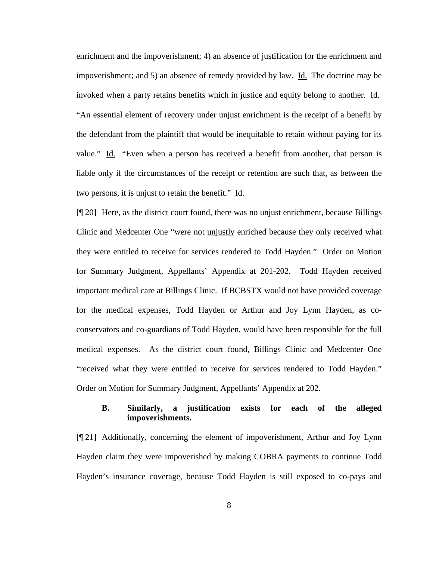enrichment and the impoverishment; 4) an absence of justification for the enrichment and impoverishment; and 5) an absence of remedy provided by law. Id. The doctrine may be invoked when a party retains benefits which in justice and equity belong to another. Id. "An essential element of recovery under unjust enrichment is the receipt of a benefit by the defendant from the plaintiff that would be inequitable to retain without paying for its value." Id. "Even when a person has received a benefit from another, that person is liable only if the circumstances of the receipt or retention are such that, as between the two persons, it is unjust to retain the benefit." Id.

[¶ 20] Here, as the district court found, there was no unjust enrichment, because Billings Clinic and Medcenter One "were not unjustly enriched because they only received what they were entitled to receive for services rendered to Todd Hayden." Order on Motion for Summary Judgment, Appellants' Appendix at 201-202. Todd Hayden received important medical care at Billings Clinic. If BCBSTX would not have provided coverage for the medical expenses, Todd Hayden or Arthur and Joy Lynn Hayden, as coconservators and co-guardians of Todd Hayden, would have been responsible for the full medical expenses. As the district court found, Billings Clinic and Medcenter One "received what they were entitled to receive for services rendered to Todd Hayden." Order on Motion for Summary Judgment, Appellants' Appendix at 202.

## **B. Similarly, a justification exists for each of the alleged impoverishments.**

[¶ 21] Additionally, concerning the element of impoverishment, Arthur and Joy Lynn Hayden claim they were impoverished by making COBRA payments to continue Todd Hayden's insurance coverage, because Todd Hayden is still exposed to co-pays and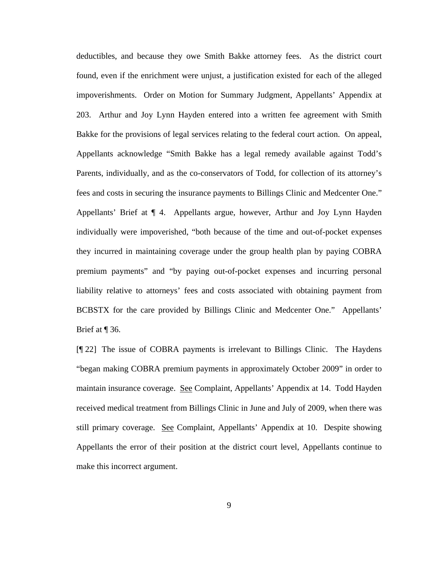deductibles, and because they owe Smith Bakke attorney fees. As the district court found, even if the enrichment were unjust, a justification existed for each of the alleged impoverishments. Order on Motion for Summary Judgment, Appellants' Appendix at 203. Arthur and Joy Lynn Hayden entered into a written fee agreement with Smith Bakke for the provisions of legal services relating to the federal court action. On appeal, Appellants acknowledge "Smith Bakke has a legal remedy available against Todd's Parents, individually, and as the co-conservators of Todd, for collection of its attorney's fees and costs in securing the insurance payments to Billings Clinic and Medcenter One." Appellants' Brief at ¶ 4. Appellants argue, however, Arthur and Joy Lynn Hayden individually were impoverished, "both because of the time and out-of-pocket expenses they incurred in maintaining coverage under the group health plan by paying COBRA premium payments" and "by paying out-of-pocket expenses and incurring personal liability relative to attorneys' fees and costs associated with obtaining payment from BCBSTX for the care provided by Billings Clinic and Medcenter One." Appellants' Brief at ¶ 36.

[¶ 22] The issue of COBRA payments is irrelevant to Billings Clinic. The Haydens "began making COBRA premium payments in approximately October 2009" in order to maintain insurance coverage. See Complaint, Appellants' Appendix at 14. Todd Hayden received medical treatment from Billings Clinic in June and July of 2009, when there was still primary coverage. See Complaint, Appellants' Appendix at 10. Despite showing Appellants the error of their position at the district court level, Appellants continue to make this incorrect argument.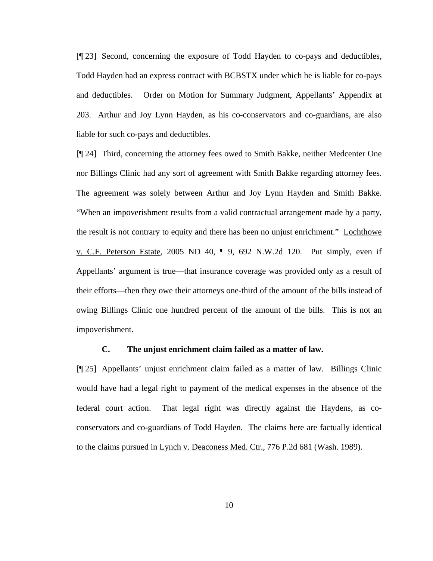[¶ 23] Second, concerning the exposure of Todd Hayden to co-pays and deductibles, Todd Hayden had an express contract with BCBSTX under which he is liable for co-pays and deductibles. Order on Motion for Summary Judgment, Appellants' Appendix at 203. Arthur and Joy Lynn Hayden, as his co-conservators and co-guardians, are also liable for such co-pays and deductibles.

[¶ 24] Third, concerning the attorney fees owed to Smith Bakke, neither Medcenter One nor Billings Clinic had any sort of agreement with Smith Bakke regarding attorney fees. The agreement was solely between Arthur and Joy Lynn Hayden and Smith Bakke. "When an impoverishment results from a valid contractual arrangement made by a party, the result is not contrary to equity and there has been no unjust enrichment." Lochthowe v. C.F. Peterson Estate, 2005 ND 40, ¶ 9, 692 N.W.2d 120. Put simply, even if Appellants' argument is true—that insurance coverage was provided only as a result of their efforts—then they owe their attorneys one-third of the amount of the bills instead of owing Billings Clinic one hundred percent of the amount of the bills. This is not an impoverishment.

### **C. The unjust enrichment claim failed as a matter of law.**

[¶ 25] Appellants' unjust enrichment claim failed as a matter of law. Billings Clinic would have had a legal right to payment of the medical expenses in the absence of the federal court action. That legal right was directly against the Haydens, as coconservators and co-guardians of Todd Hayden. The claims here are factually identical to the claims pursued in Lynch v. Deaconess Med. Ctr., 776 P.2d 681 (Wash. 1989).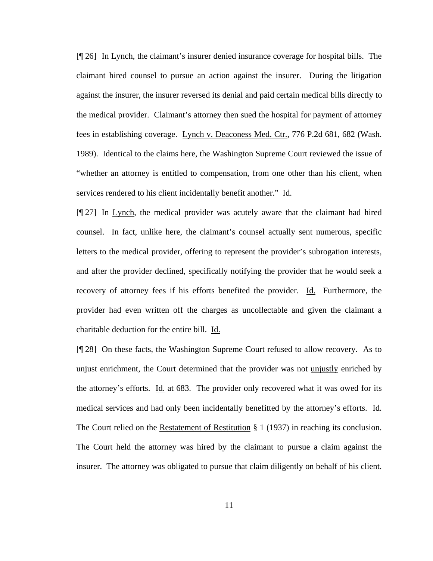[¶ 26] In Lynch, the claimant's insurer denied insurance coverage for hospital bills. The claimant hired counsel to pursue an action against the insurer. During the litigation against the insurer, the insurer reversed its denial and paid certain medical bills directly to the medical provider. Claimant's attorney then sued the hospital for payment of attorney fees in establishing coverage. Lynch v. Deaconess Med. Ctr., 776 P.2d 681, 682 (Wash. 1989). Identical to the claims here, the Washington Supreme Court reviewed the issue of "whether an attorney is entitled to compensation, from one other than his client, when services rendered to his client incidentally benefit another." Id.

[¶ 27] In Lynch, the medical provider was acutely aware that the claimant had hired counsel. In fact, unlike here, the claimant's counsel actually sent numerous, specific letters to the medical provider, offering to represent the provider's subrogation interests, and after the provider declined, specifically notifying the provider that he would seek a recovery of attorney fees if his efforts benefited the provider. Id. Furthermore, the provider had even written off the charges as uncollectable and given the claimant a charitable deduction for the entire bill. Id.

[¶ 28] On these facts, the Washington Supreme Court refused to allow recovery. As to unjust enrichment, the Court determined that the provider was not unjustly enriched by the attorney's efforts. Id. at 683. The provider only recovered what it was owed for its medical services and had only been incidentally benefitted by the attorney's efforts. Id. The Court relied on the Restatement of Restitution § 1 (1937) in reaching its conclusion. The Court held the attorney was hired by the claimant to pursue a claim against the insurer. The attorney was obligated to pursue that claim diligently on behalf of his client.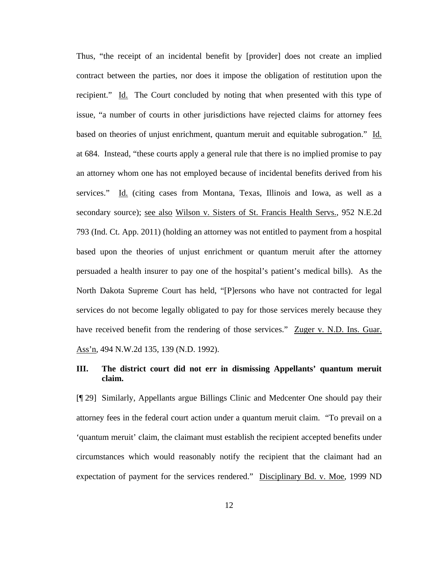Thus, "the receipt of an incidental benefit by [provider] does not create an implied contract between the parties, nor does it impose the obligation of restitution upon the recipient." Id.The Court concluded by noting that when presented with this type of issue, "a number of courts in other jurisdictions have rejected claims for attorney fees based on theories of unjust enrichment, quantum meruit and equitable subrogation." Id. at 684. Instead, "these courts apply a general rule that there is no implied promise to pay an attorney whom one has not employed because of incidental benefits derived from his services." Id. (citing cases from Montana, Texas, Illinois and Iowa, as well as a secondary source); see also Wilson v. Sisters of St. Francis Health Servs., 952 N.E.2d 793 (Ind. Ct. App. 2011) (holding an attorney was not entitled to payment from a hospital based upon the theories of unjust enrichment or quantum meruit after the attorney persuaded a health insurer to pay one of the hospital's patient's medical bills). As the North Dakota Supreme Court has held, "[P]ersons who have not contracted for legal services do not become legally obligated to pay for those services merely because they have received benefit from the rendering of those services." Zuger v. N.D. Ins. Guar. Ass'n, 494 N.W.2d 135, 139 (N.D. 1992).

## **III. The district court did not err in dismissing Appellants' quantum meruit claim.**

[¶ 29] Similarly, Appellants argue Billings Clinic and Medcenter One should pay their attorney fees in the federal court action under a quantum meruit claim. "To prevail on a 'quantum meruit' claim, the claimant must establish the recipient accepted benefits under circumstances which would reasonably notify the recipient that the claimant had an expectation of payment for the services rendered." Disciplinary Bd. v. Moe, 1999 ND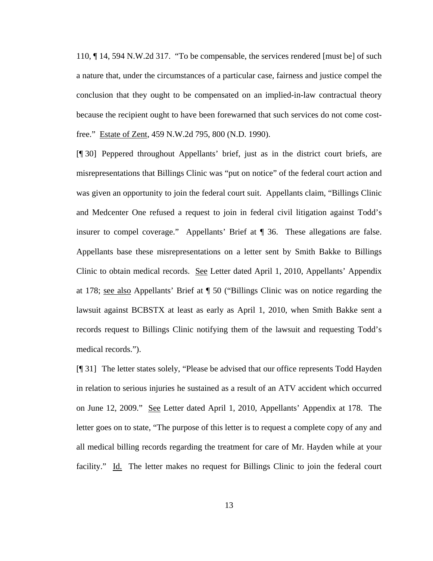110, ¶ 14, 594 N.W.2d 317. "To be compensable, the services rendered [must be] of such a nature that, under the circumstances of a particular case, fairness and justice compel the conclusion that they ought to be compensated on an implied-in-law contractual theory because the recipient ought to have been forewarned that such services do not come costfree." Estate of Zent, 459 N.W.2d 795, 800 (N.D. 1990).

[¶ 30] Peppered throughout Appellants' brief, just as in the district court briefs, are misrepresentations that Billings Clinic was "put on notice" of the federal court action and was given an opportunity to join the federal court suit. Appellants claim, "Billings Clinic and Medcenter One refused a request to join in federal civil litigation against Todd's insurer to compel coverage." Appellants' Brief at ¶ 36. These allegations are false. Appellants base these misrepresentations on a letter sent by Smith Bakke to Billings Clinic to obtain medical records. See Letter dated April 1, 2010, Appellants' Appendix at 178; see also Appellants' Brief at ¶ 50 ("Billings Clinic was on notice regarding the lawsuit against BCBSTX at least as early as April 1, 2010, when Smith Bakke sent a records request to Billings Clinic notifying them of the lawsuit and requesting Todd's medical records.").

[¶ 31] The letter states solely, "Please be advised that our office represents Todd Hayden in relation to serious injuries he sustained as a result of an ATV accident which occurred on June 12, 2009." See Letter dated April 1, 2010, Appellants' Appendix at 178. The letter goes on to state, "The purpose of this letter is to request a complete copy of any and all medical billing records regarding the treatment for care of Mr. Hayden while at your facility." Id. The letter makes no request for Billings Clinic to join the federal court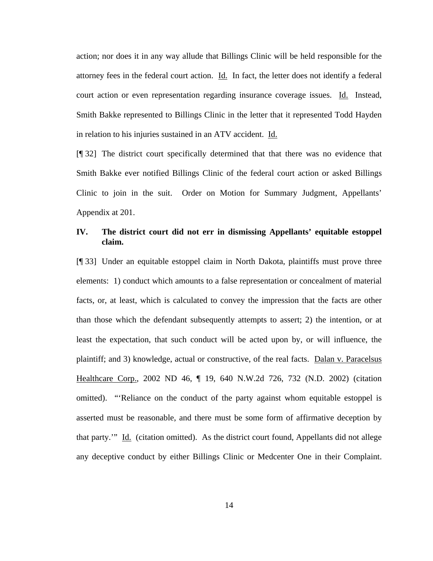action; nor does it in any way allude that Billings Clinic will be held responsible for the attorney fees in the federal court action. Id. In fact, the letter does not identify a federal court action or even representation regarding insurance coverage issues. Id. Instead, Smith Bakke represented to Billings Clinic in the letter that it represented Todd Hayden in relation to his injuries sustained in an ATV accident. Id.

[¶ 32] The district court specifically determined that that there was no evidence that Smith Bakke ever notified Billings Clinic of the federal court action or asked Billings Clinic to join in the suit. Order on Motion for Summary Judgment, Appellants' Appendix at 201.

## **IV. The district court did not err in dismissing Appellants' equitable estoppel claim.**

[¶ 33] Under an equitable estoppel claim in North Dakota, plaintiffs must prove three elements: 1) conduct which amounts to a false representation or concealment of material facts, or, at least, which is calculated to convey the impression that the facts are other than those which the defendant subsequently attempts to assert; 2) the intention, or at least the expectation, that such conduct will be acted upon by, or will influence, the plaintiff; and 3) knowledge, actual or constructive, of the real facts. Dalan v. Paracelsus Healthcare Corp., 2002 ND 46, ¶ 19, 640 N.W.2d 726, 732 (N.D. 2002) (citation omitted). "'Reliance on the conduct of the party against whom equitable estoppel is asserted must be reasonable, and there must be some form of affirmative deception by that party.'" Id.(citation omitted). As the district court found, Appellants did not allege any deceptive conduct by either Billings Clinic or Medcenter One in their Complaint.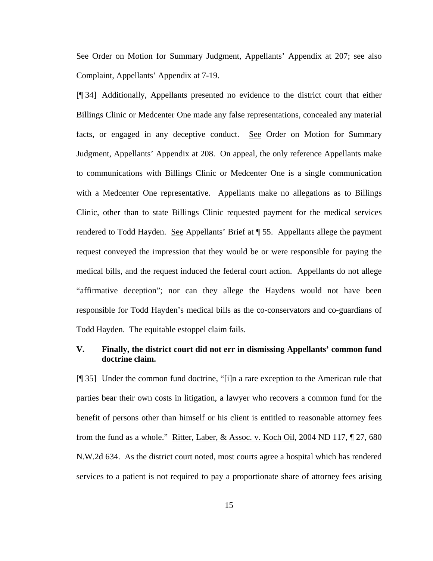See Order on Motion for Summary Judgment, Appellants' Appendix at 207; see also Complaint, Appellants' Appendix at 7-19.

[¶ 34] Additionally, Appellants presented no evidence to the district court that either Billings Clinic or Medcenter One made any false representations, concealed any material facts, or engaged in any deceptive conduct. See Order on Motion for Summary Judgment, Appellants' Appendix at 208. On appeal, the only reference Appellants make to communications with Billings Clinic or Medcenter One is a single communication with a Medcenter One representative. Appellants make no allegations as to Billings Clinic, other than to state Billings Clinic requested payment for the medical services rendered to Todd Hayden. See Appellants' Brief at  $\P$  55. Appellants allege the payment request conveyed the impression that they would be or were responsible for paying the medical bills, and the request induced the federal court action. Appellants do not allege "affirmative deception"; nor can they allege the Haydens would not have been responsible for Todd Hayden's medical bills as the co-conservators and co-guardians of Todd Hayden. The equitable estoppel claim fails.

## **V. Finally, the district court did not err in dismissing Appellants' common fund doctrine claim.**

[¶ 35] Under the common fund doctrine, "[i]n a rare exception to the American rule that parties bear their own costs in litigation, a lawyer who recovers a common fund for the benefit of persons other than himself or his client is entitled to reasonable attorney fees from the fund as a whole." Ritter, Laber, & Assoc. v. Koch Oil, 2004 ND 117, ¶ 27, 680 N.W.2d 634. As the district court noted, most courts agree a hospital which has rendered services to a patient is not required to pay a proportionate share of attorney fees arising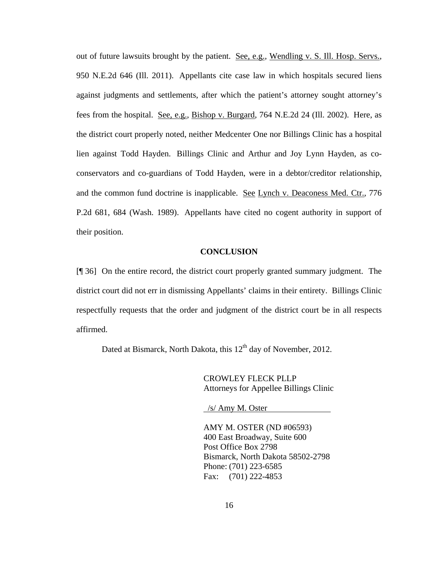out of future lawsuits brought by the patient. See, e.g., Wendling v. S. Ill. Hosp. Servs., 950 N.E.2d 646 (Ill. 2011). Appellants cite case law in which hospitals secured liens against judgments and settlements, after which the patient's attorney sought attorney's fees from the hospital. See, e.g., Bishop v. Burgard, 764 N.E.2d 24 (Ill. 2002). Here, as the district court properly noted, neither Medcenter One nor Billings Clinic has a hospital lien against Todd Hayden. Billings Clinic and Arthur and Joy Lynn Hayden, as coconservators and co-guardians of Todd Hayden, were in a debtor/creditor relationship, and the common fund doctrine is inapplicable. See Lynch v. Deaconess Med. Ctr., 776 P.2d 681, 684 (Wash. 1989). Appellants have cited no cogent authority in support of their position.

### **CONCLUSION**

[¶ 36] On the entire record, the district court properly granted summary judgment. The district court did not err in dismissing Appellants' claims in their entirety. Billings Clinic respectfully requests that the order and judgment of the district court be in all respects affirmed.

Dated at Bismarck, North Dakota, this 12<sup>th</sup> day of November, 2012.

CROWLEY FLECK PLLP Attorneys for Appellee Billings Clinic

/s/ Amy M. Oster

 AMY M. OSTER (ND #06593) 400 East Broadway, Suite 600 Post Office Box 2798 Bismarck, North Dakota 58502-2798 Phone: (701) 223-6585 Fax: (701) 222-4853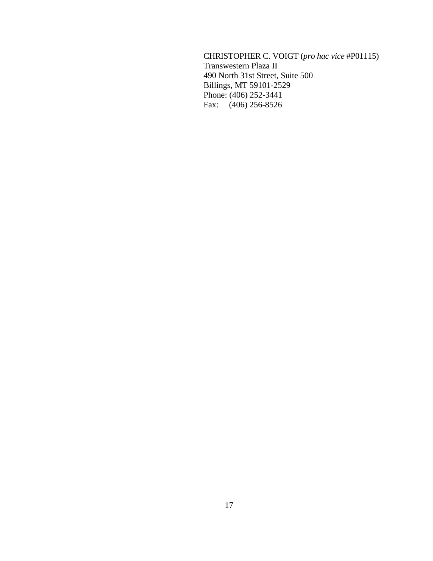CHRISTOPHER C. VOIGT (*pro hac vice* #P01115) Transwestern Plaza II 490 North 31st Street, Suite 500 Billings, MT 59101-2529 Phone: (406) 252-3441 Fax: (406) 256-8526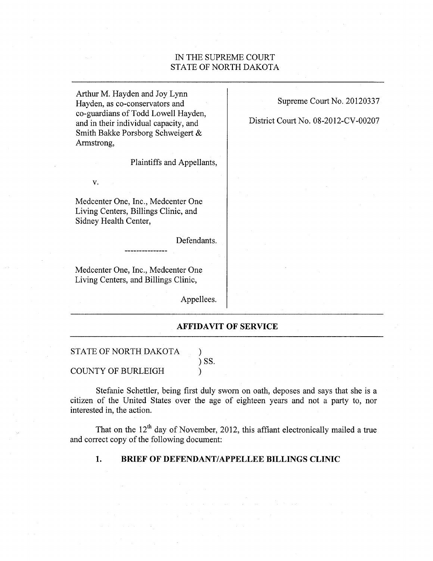## IN THE SUPREME COURT STATE OF NORTH DAKOTA

Arthur M. Hayden and Joy Lynn Hayden, as co-conservators and co-guardians of Todd Lowell Hayden, and in their individual capacity, and Smith Bakke Porsborg Schweigert & Armstrong,

Plaintiffs and Appellants,

Medcenter One, Inc., Medcenter One Living Centers, Billings Clinic, and Sidney Health Center,

V.

Defendants.

Medcenter One, Inc., Medcenter One Living Centers, and Billings Clinic,

Appellees.

 $\mathcal{E}$  $\sum$  SS.

 $\lambda$ 

## Supreme Court No. 20120337

District Court No. 08-2012-CV-00207

**AFFIDAVIT OF SERVICE** 

STATE OF NORTH DAKOTA

**COUNTY OF BURLEIGH** 

Stefanie Schettler, being first duly sworn on oath, deposes and says that she is a citizen of the United States over the age of eighteen years and not a party to, nor interested in, the action.

That on the  $12<sup>th</sup>$  day of November, 2012, this affiant electronically mailed a true and correct copy of the following document:

#### 1. BRIEF OF DEFENDANT/APPELLEE BILLINGS CLINIC